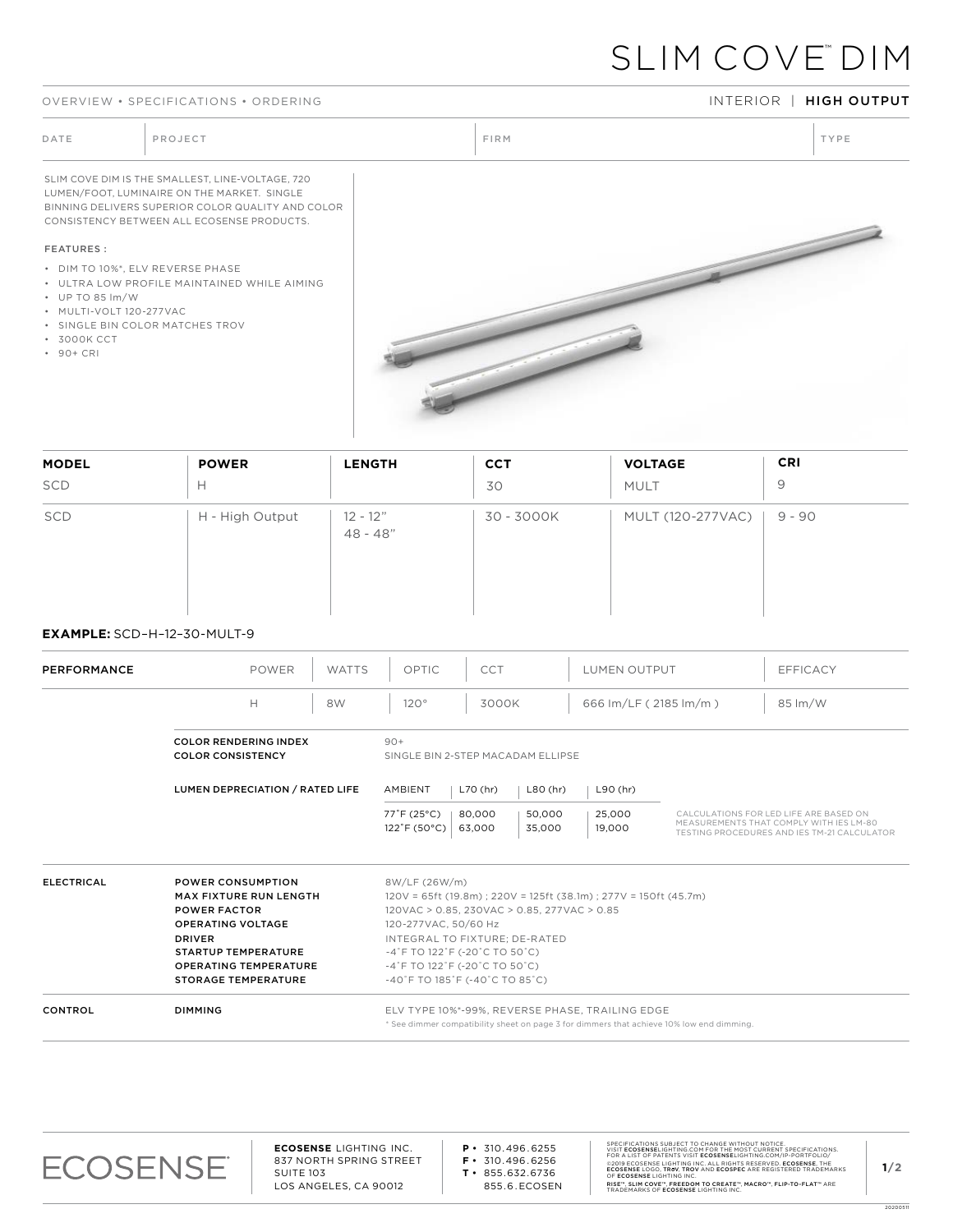#### OVERVIEW • SPECIFICATIONS • ORDERING INTERIOR INTERIOR INTERIOR INTERIOR INTERIOR INTERIOR INTERIOR INTERIOR INTERIOR

# SLIM COVE™ DIM

DATE PROJECT PROJECT PRODUCT PROJECT PRODUCT PRODUCT PRODUCT PRODUCT PRODUCT PRODUCT PRODUCT PRODUCT PRODUCT PRODUCT PRODUCT PRODUCT PRODUCT PRODUCT PRODUCT PRODUCT PRODUCT PRODUCT PRODUCT PRODUCT PRODUCT PRODUCT PRODUCT P

SLIM COVE DIM IS THE SMALLEST, LINE-VOLTAGE, 720 LUMEN/FOOT, LUMINAIRE ON THE MARKET. SINGLE BINNING DELIVERS SUPERIOR COLOR QUALITY AND COLOR CONSISTENCY BETWEEN ALL ECOSENSE PRODUCTS.

#### FEATURES :

- DIM TO 10%\*, ELV REVERSE PHASE
- ULTRA LOW PROFILE MAINTAINED WHILE AIMING
- UP TO 85 lm/W
- MULTI-VOLT 120-277VAC
- SINGLE BIN COLOR MATCHES TROV
- 3000K CCT
- 90+ CRI



| <b>MODEL</b> | <b>POWER</b>    | <b>LENGTH</b>            | <b>CCT</b> | <b>VOLTAGE</b>    | <b>CRI</b> |
|--------------|-----------------|--------------------------|------------|-------------------|------------|
| SCD          | н               |                          | 30         | MULT              | 9          |
| SCD          | H - High Output | $12 - 12"$<br>$48 - 48"$ | 30 - 3000K | MULT (120-277VAC) | 9 - 90     |

### **EXAMPLE:** SCD–H–12–30-MULT-9

| PERFORMANCE       | <b>POWER</b><br><b>WATTS</b>                                                                                                                                                                                              | CCT<br>OPTIC                                                                                                                                                                                                                                                                                                                                  | LUMEN OUTPUT          | <b>EFFICACY</b>                                                                                                                  |  |
|-------------------|---------------------------------------------------------------------------------------------------------------------------------------------------------------------------------------------------------------------------|-----------------------------------------------------------------------------------------------------------------------------------------------------------------------------------------------------------------------------------------------------------------------------------------------------------------------------------------------|-----------------------|----------------------------------------------------------------------------------------------------------------------------------|--|
|                   | H<br>8W                                                                                                                                                                                                                   | 120°<br>3000K                                                                                                                                                                                                                                                                                                                                 | 666 Im/LF (2185 Im/m) | 85 lm/W                                                                                                                          |  |
|                   | <b>COLOR RENDERING INDEX</b><br><b>COLOR CONSISTENCY</b>                                                                                                                                                                  | $90+$<br>SINGLE BIN 2-STEP MACADAM ELLIPSE                                                                                                                                                                                                                                                                                                    |                       |                                                                                                                                  |  |
|                   | LUMEN DEPRECIATION / RATED LIFE                                                                                                                                                                                           | L70 (hr)<br>$L80$ (hr)<br>AMBIENT                                                                                                                                                                                                                                                                                                             | $L90$ (hr)            |                                                                                                                                  |  |
|                   |                                                                                                                                                                                                                           | 77°F (25°C)<br>80,000<br>50,000<br>122°F (50°C)<br>63,000<br>35,000                                                                                                                                                                                                                                                                           | 25,000<br>19.000      | CALCULATIONS FOR LED LIFE ARE BASED ON<br>MEASUREMENTS THAT COMPLY WITH IES LM-80<br>TESTING PROCEDURES AND IES TM-21 CALCULATOR |  |
| <b>ELECTRICAL</b> | <b>POWER CONSUMPTION</b><br><b>MAX FIXTURE RUN LENGTH</b><br><b>POWER FACTOR</b><br><b>OPERATING VOLTAGE</b><br><b>DRIVER</b><br><b>STARTUP TEMPERATURE</b><br><b>OPERATING TEMPERATURE</b><br><b>STORAGE TEMPERATURE</b> | 8W/LF (26W/m)<br>$120V = 65ft (19.8m)$ ; $220V = 125ft (38.1m)$ ; $277V = 150ft (45.7m)$<br>120VAC > 0.85, 230VAC > 0.85, 277VAC > 0.85<br>120-277VAC, 50/60 Hz<br>INTEGRAL TO FIXTURE; DE-RATED<br>$-4$ °F TO 122°F (-20°C TO 50°C)<br>$-4$ °F TO 122°F (-20°C TO 50°C)<br>$-40^\circ$ F TO 185 $^\circ$ F (-40 $^\circ$ C TO 85 $^\circ$ C) |                       |                                                                                                                                  |  |
| <b>CONTROL</b>    | <b>DIMMING</b>                                                                                                                                                                                                            | ELV TYPE 10%*-99%, REVERSE PHASE, TRAILING EDGE<br>* See dimmer compatibility sheet on page 3 for dimmers that achieve 10% low end dimming.                                                                                                                                                                                                   |                       |                                                                                                                                  |  |



**ECOSENSE** LIGHTING INC. 837 NORTH SPRING STREET SUITE 103 LOS ANGELES, CA 90012

**P •** 310.496.6255 **F •** 310.496.6256 **T •** 855.632.6736

855.6.ECOSEN

SPECIFICATIONS SUBJECT TO CHANGE WITHOUT NOTICE.<br>VISIT **ECOSENSE**LIGHTING.COM FOR THE MOST CURRENT SPECIFICATIONS.<br>FOR A LIST OF PATENTS VISIT **ECOSENSE**LIGHTING.COM/IP-PORTFOLIO/ ©2019 ECOSENSE LIGHTING INC. ALL RIGHTS RESERVED. **ECOSENSE**, THE<br>**ECOSENSE** LOGO, **TROV, TROV** AND **ECOSPEC** ARE REGISTERED TRADEMARKS<br>OF **ECOSENSE** LIGHTING INC. RISE™, SLIM COVE™, FREEDOM TO CREATE™, MACRO™, FLIP-TO-FLAT™ ARE<br>TRADEMARKS OF **ECOSENSE** LIGHTING INC.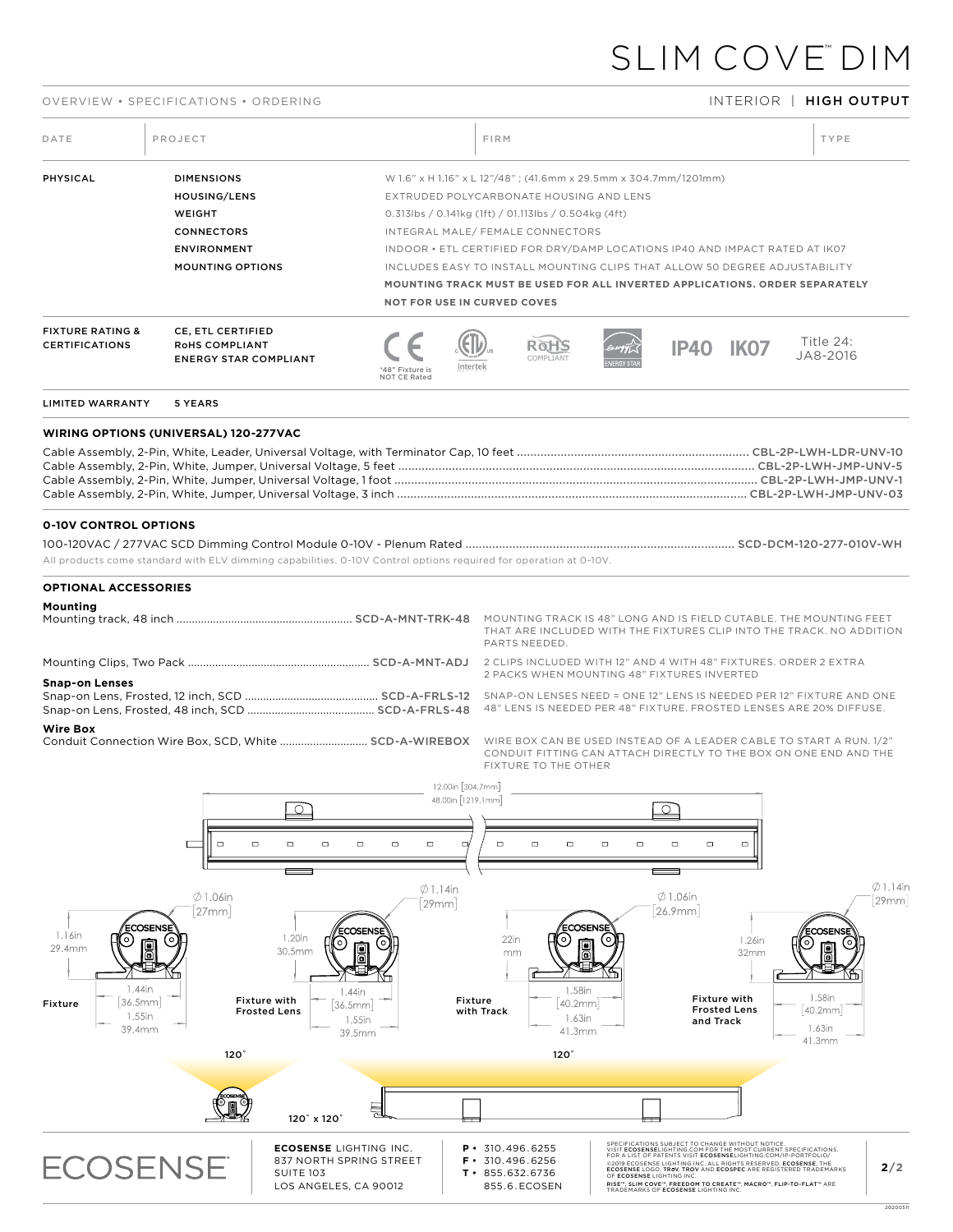### OVERVIEW • SPECIFICATIONS • ORDERING INTERIOR | HIGH OUTPUT

| DATE                                                                            | PROJECT                                                                                                                                                           |                                                                                                                                                       | FIRM                                                                                                                               |                                                                                                                                                                                                                                                                                                                                                                                                                                                                  |                                                                                               | TYPE                                                                           |
|---------------------------------------------------------------------------------|-------------------------------------------------------------------------------------------------------------------------------------------------------------------|-------------------------------------------------------------------------------------------------------------------------------------------------------|------------------------------------------------------------------------------------------------------------------------------------|------------------------------------------------------------------------------------------------------------------------------------------------------------------------------------------------------------------------------------------------------------------------------------------------------------------------------------------------------------------------------------------------------------------------------------------------------------------|-----------------------------------------------------------------------------------------------|--------------------------------------------------------------------------------|
| PHYSICAL                                                                        | <b>DIMENSIONS</b><br>HOUSING/LENS<br>WEIGHT<br><b>CONNECTORS</b><br><b>ENVIRONMENT</b><br><b>MOUNTING OPTIONS</b>                                                 | <b>NOT FOR USE IN CURVED COVES</b>                                                                                                                    | EXTRUDED POLYCARBONATE HOUSING AND LENS<br>0.313lbs / 0.141kg (1ft) / 01.113lbs / 0.504kg (4ft)<br>INTEGRAL MALE/FEMALE CONNECTORS | W 1.6" x H 1.16" x L 12"/48"; (41.6mm x 29.5mm x 304.7mm/1201mm)<br>INDOOR . ETL CERTIFIED FOR DRY/DAMP LOCATIONS IP40 AND IMPACT RATED AT IK07<br>INCLUDES EASY TO INSTALL MOUNTING CLIPS THAT ALLOW 50 DEGREE ADJUSTABILITY<br>MOUNTING TRACK MUST BE USED FOR ALL INVERTED APPLICATIONS, ORDER SEPARATELY                                                                                                                                                     |                                                                                               |                                                                                |
| <b>FIXTURE RATING &amp;</b><br><b>CERTIFICATIONS</b>                            | CE, ETL CERTIFIED<br>RoHS COMPLIANT<br><b>ENERGY STAR COMPLIANT</b>                                                                                               | Intertek<br>'48" Fixture is<br>NOT CE Rated                                                                                                           | ROH.<br>COMPI TANT                                                                                                                 |                                                                                                                                                                                                                                                                                                                                                                                                                                                                  | <b>IP40 IK07</b>                                                                              | Title 24:<br>JA8-2016                                                          |
| <b>LIMITED WARRANTY</b>                                                         | 5 YEARS                                                                                                                                                           |                                                                                                                                                       |                                                                                                                                    |                                                                                                                                                                                                                                                                                                                                                                                                                                                                  |                                                                                               |                                                                                |
|                                                                                 | <b>WIRING OPTIONS (UNIVERSAL) 120-277VAC</b>                                                                                                                      |                                                                                                                                                       |                                                                                                                                    |                                                                                                                                                                                                                                                                                                                                                                                                                                                                  |                                                                                               |                                                                                |
|                                                                                 |                                                                                                                                                                   |                                                                                                                                                       |                                                                                                                                    |                                                                                                                                                                                                                                                                                                                                                                                                                                                                  |                                                                                               |                                                                                |
| <b>0-10V CONTROL OPTIONS</b>                                                    | All products come standard with ELV dimming capabilities. 0-10V Control options required for operation at 0-10V.                                                  |                                                                                                                                                       |                                                                                                                                    |                                                                                                                                                                                                                                                                                                                                                                                                                                                                  |                                                                                               |                                                                                |
| Mounting<br><b>Snap-on Lenses</b><br><b>Wire Box</b>                            | Conduit Connection Wire Box, SCD, White  SCD-A-WIREBOX WIRE BOX CAN BE USED INSTEAD OF A LEADER CABLE TO START A RUN. 1/2"<br>டவ                                  | 12.00in [304.7mm]<br>48.00in [1219.1mm]                                                                                                               | PARTS NEEDED.<br>FIXTURE TO THE OTHER                                                                                              | MOUNTING TRACK IS 48" LONG AND IS FIELD CUTABLE. THE MOUNTING FEET<br>THAT ARE INCLUDED WITH THE FIXTURES CLIP INTO THE TRACK. NO ADDITION<br>2 PACKS WHEN MOUNTING 48" FIXTURES INVERTED<br>48" LENS IS NEEDED PER 48" FIXTURE. FROSTED LENSES ARE 20% DIFFUSE.<br>CONDUIT FITTING CAN ATTACH DIRECTLY TO THE BOX ON ONE END AND THE<br>ר∩ ו                                                                                                                    |                                                                                               |                                                                                |
| ECOSENSE<br>1.16in<br>29.4mm<br>1.44in<br>36.5mm<br>Fixture<br>1.55in<br>39.4mm | $\qquad \qquad \Box$<br>$\Box$<br>$\Box$<br>$\Box$<br>$\emptyset$ 1.06in<br>27mm<br>1.20in<br>30.5mm<br><b>Fixture with</b><br><b>Frosted Lens</b><br>$120^\circ$ | $\Box$<br>$\Box$<br>$\Box$<br>$\Box$<br>$\emptyset$ 1.14in<br>[29mm]<br>COSENSI<br>F<br>1.44in<br>Fixture<br>36.5mm<br>with Track<br>1.55in<br>39.5mm | $\Box$<br>$\Box$<br>$\Box$<br>22in<br>mm<br>1.58in<br>40.2mm<br>1.63in<br>41.3mm<br>$120^\circ$                                    | $\Box$<br>$\Box$<br>$\Box$<br>$\emptyset$ 1.06in<br>26.9mm<br>ECOSENSE                                                                                                                                                                                                                                                                                                                                                                                           | $\Box$<br>$\Box$<br>1.26in<br>32mm<br><b>Fixture with</b><br><b>Frosted Lens</b><br>and Track | $\emptyset$ 1.14in<br>29mm<br>ECOSENSI<br>1.58in<br>40.2mm<br>1.63in<br>41.3mm |
|                                                                                 | 120° x 120°                                                                                                                                                       | 틮                                                                                                                                                     |                                                                                                                                    |                                                                                                                                                                                                                                                                                                                                                                                                                                                                  |                                                                                               |                                                                                |
| <b>ECOSENSE</b>                                                                 | <b>ECOSENSE LIGHTING INC.</b><br><b>SUITE 103</b><br>LOS ANGELES, CA 90012                                                                                        | 837 NORTH SPRING STREET                                                                                                                               | $P \cdot 310.496.6255$<br>$F \cdot 310.496.6256$<br>$T \cdot 855.632.6736$<br>855.6.ECOSEN                                         | SPECIFICATIONS SUBJECT TO CHANGE WITHOUT NOTICE.<br>VISIT ECOSENSELIGHTING.COM FOR THE MOST CURRENT SPECIFICATIONS.<br>FOR A LIST OF PATENTS VISIT ECOSENSELIGHTING.COM/IP-PORTFOLIO/<br>©2019 ECOSENSE LIGHTING INC. ALL RIGHTS RESERVED. ECOSENSE, THE ECOSENSE LOGO, TROV, TROV AND ECOSPEC ARE REGISTERED TRADEMARKS<br>OF ECOSENSE LIGHTING INC.<br>RISE™, SLIM COVE™, FREEDOM TO CREATE™, MACRO™, FLIP-TO-FLAT™ ARE<br>TRADEMARKS OF ECOSENSE LIGHTING INC |                                                                                               | 2/2                                                                            |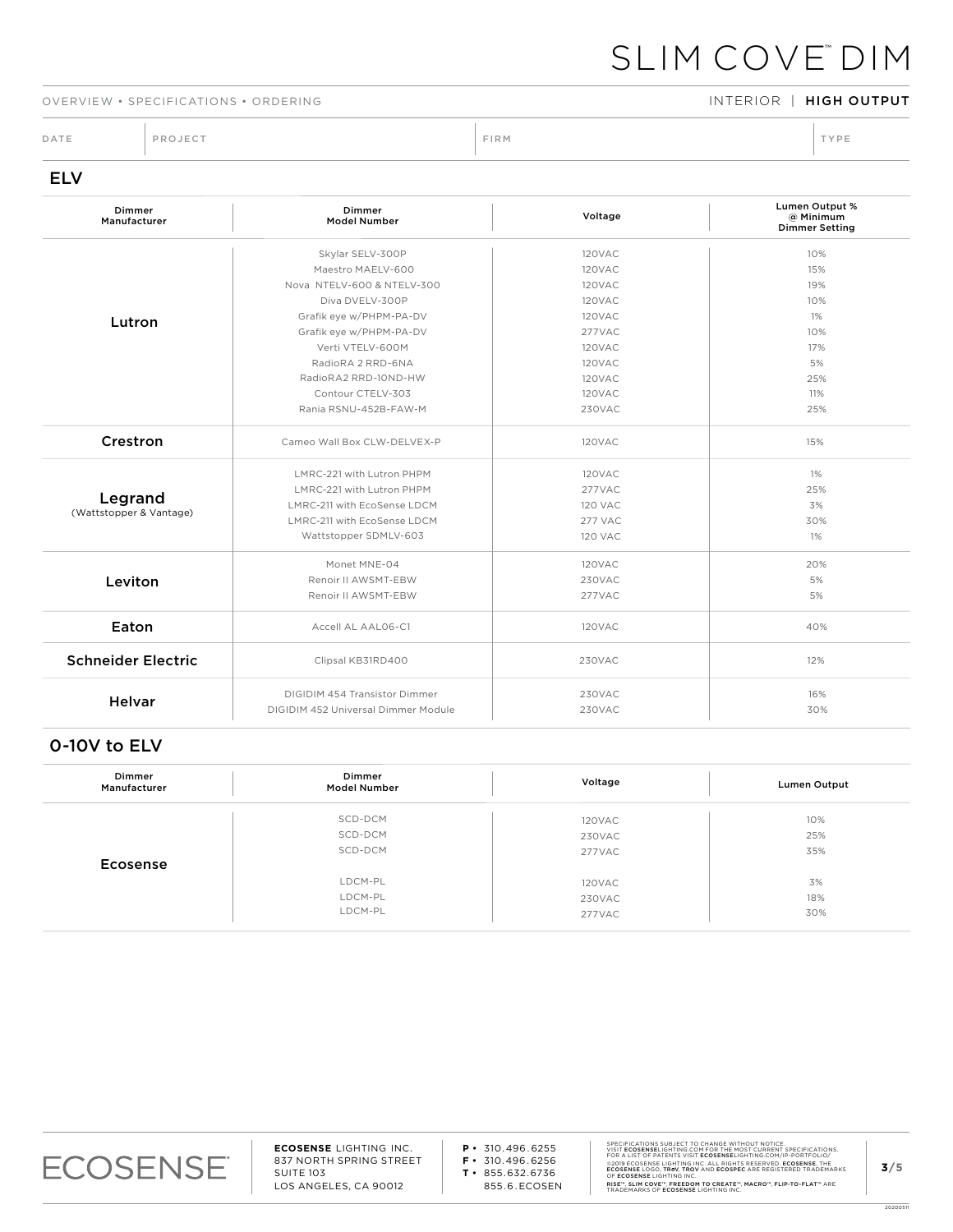### OVERVIEW • SPECIFICATIONS • ORDERING INTERIOR INTERIOR | HIGH OUTPUT

DATE PROJECT PROJECT PRODUCT PROJECT PRODUCT PRODUCT PRODUCT PRODUCT PRODUCT PRODUCT PRODUCT PRODUCT PRODUCT PRODUCT PRODUCT PRODUCT PRODUCT PRODUCT PRODUCT PRODUCT PRODUCT PRODUCT PRODUCT PRODUCT PRODUCT PRODUCT PRODUCT P

## ELV

| Dimmer<br>Manufacturer    | Dimmer<br><b>Model Number</b>       | Voltage        | Lumen Output %<br>@ Minimum<br><b>Dimmer Setting</b> |
|---------------------------|-------------------------------------|----------------|------------------------------------------------------|
|                           | Skylar SELV-300P                    | 120VAC         | 10%                                                  |
|                           | Maestro MAELV-600                   | 120VAC         | 15%                                                  |
|                           | Nova NTELV-600 & NTELV-300          | 120VAC         | 19%                                                  |
|                           | Diva DVELV-300P                     | 120VAC         | 10%                                                  |
| Lutron                    | Grafik eye w/PHPM-PA-DV             | 120VAC         | 1%                                                   |
|                           | Grafik eye w/PHPM-PA-DV             | 277VAC         | 10%                                                  |
|                           | Verti VTELV-600M                    | 120VAC         | 17%                                                  |
|                           | RadioRA 2 RRD-6NA                   | 120VAC         | 5%                                                   |
|                           | RadioRA2 RRD-10ND-HW                | <b>120VAC</b>  | 25%                                                  |
|                           | Contour CTELV-303                   | 120VAC         | 11%                                                  |
|                           | Rania RSNU-452B-FAW-M               | 230VAC         | 25%                                                  |
| Crestron                  | Cameo Wall Box CLW-DELVEX-P         | 120VAC         | 15%                                                  |
|                           | LMRC-221 with Lutron PHPM           | 120VAC         | 1%                                                   |
|                           | LMRC-221 with Lutron PHPM           | 277VAC         | 25%                                                  |
| Legrand                   | LMRC-211 with EcoSense LDCM         | <b>120 VAC</b> | 3%                                                   |
| (Wattstopper & Vantage)   | LMRC-211 with EcoSense LDCM         | 277 VAC        | 30%                                                  |
|                           | Wattstopper SDMLV-603               | <b>120 VAC</b> | 1%                                                   |
|                           | Monet MNE-04                        | 120VAC         | 20%                                                  |
| Leviton                   | Renoir II AWSMT-EBW                 | 230VAC         | 5%                                                   |
|                           | Renoir II AWSMT-EBW                 | 277VAC         | 5%                                                   |
| Eaton                     | Accell AL AAL06-C1                  | 120VAC         | 40%                                                  |
| <b>Schneider Electric</b> | Clipsal KB31RD400                   | 230VAC         | 12%                                                  |
| <b>Helvar</b>             | DIGIDIM 454 Transistor Dimmer       | 230VAC         | 16%                                                  |
|                           | DIGIDIM 452 Universal Dimmer Module | 230VAC         | 30%                                                  |

## 0-10V to ELV

| Dimmer<br>Manufacturer | Dimmer<br><b>Model Number</b> | Voltage | <b>Lumen Output</b> |
|------------------------|-------------------------------|---------|---------------------|
|                        | SCD-DCM                       | 120VAC  | 10%                 |
|                        | SCD-DCM                       | 230VAC  | 25%                 |
|                        | SCD-DCM                       | 277VAC  | 35%                 |
| Ecosense               |                               |         |                     |
|                        | LDCM-PL                       | 120VAC  | 3%                  |
|                        | LDCM-PL                       | 230VAC  | 18%                 |
|                        | LDCM-PL                       | 277VAC  | 30%                 |

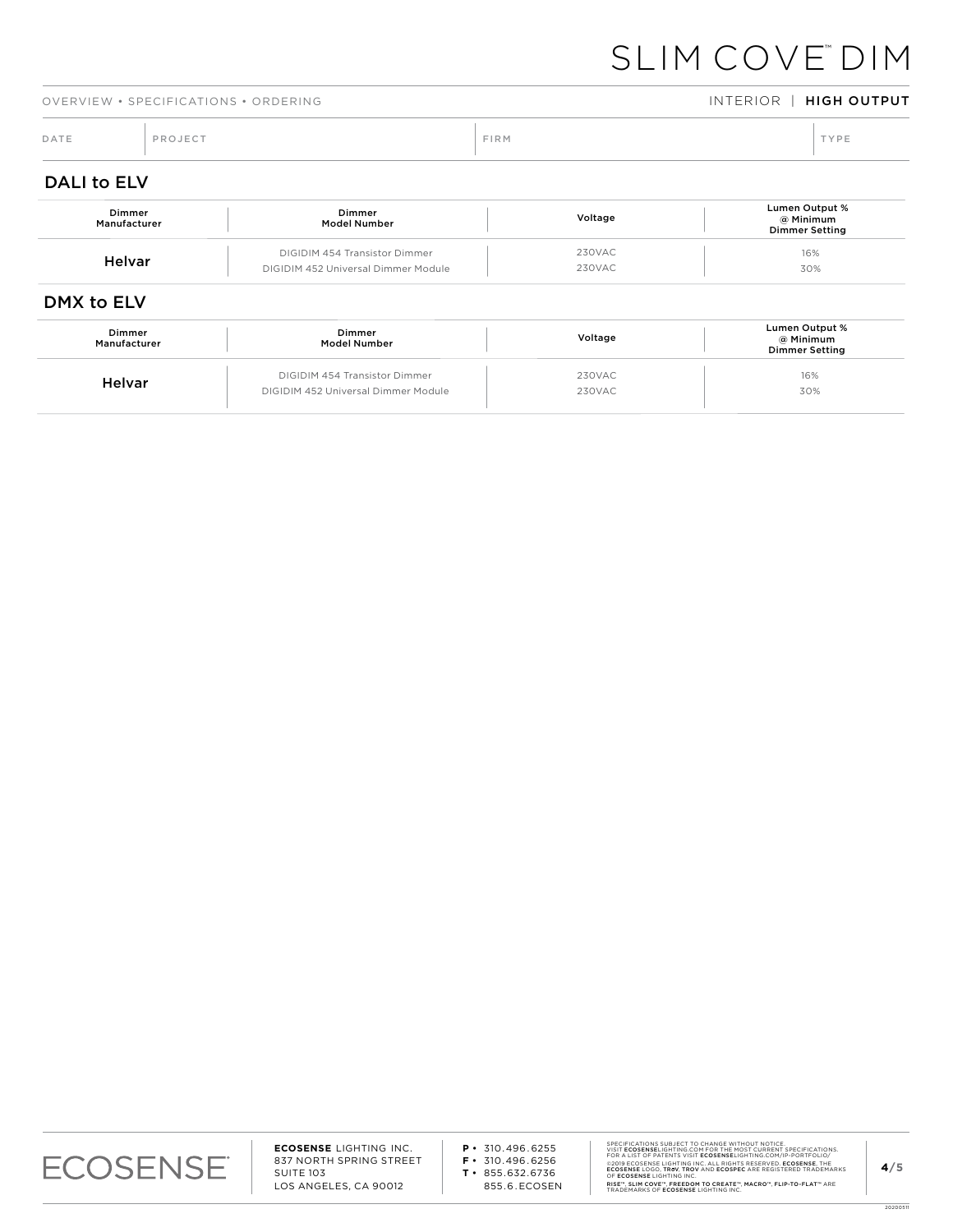16% 30%

|                    | OVERVIEW • SPECIFICATIONS • ORDERING |                               |      |         | INTERIOR   HIGH OUTPUT                               |
|--------------------|--------------------------------------|-------------------------------|------|---------|------------------------------------------------------|
| DATE               | PROJECT                              |                               | FIRM |         | TYPE                                                 |
| <b>DALI to ELV</b> |                                      |                               |      |         |                                                      |
|                    | Dimmer<br>Manufacturer               | Dimmer<br><b>Model Number</b> |      | Voltage | Lumen Output %<br>@ Minimum<br><b>Dimmer Setting</b> |

230VAC 230VAC

### DMX to ELV

EVALUAT DIGIDIM 454 Transistor Dimmer

DIGIDIM 452 Universal Dimmer Module

| Dimmer<br>Manufacturer | Dimmer<br>Model Number              | Voltage | Lumen Output %<br>@ Minimum<br><b>Dimmer Setting</b> |
|------------------------|-------------------------------------|---------|------------------------------------------------------|
| Helvar                 | DIGIDIM 454 Transistor Dimmer       | 230VAC  | 16%                                                  |
|                        | DIGIDIM 452 Universal Dimmer Module | 230VAC  | 30%                                                  |